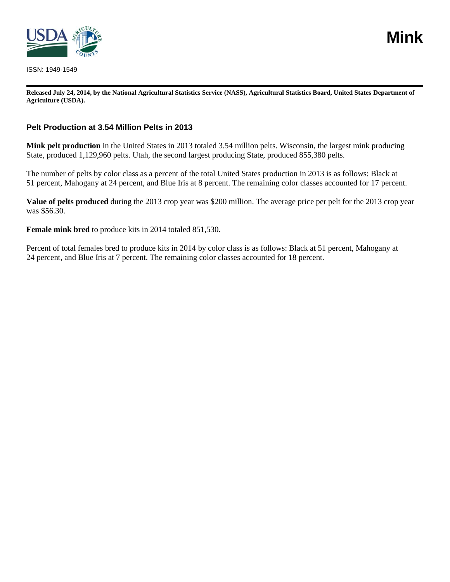

ISSN: 1949-1549

**Released July 24, 2014, by the National Agricultural Statistics Service (NASS), Agricultural Statistics Board, United States Department of Agriculture (USDA).**

#### **Pelt Production at 3.54 Million Pelts in 2013**

**Mink pelt production** in the United States in 2013 totaled 3.54 million pelts. Wisconsin, the largest mink producing State, produced 1,129,960 pelts. Utah, the second largest producing State, produced 855,380 pelts.

The number of pelts by color class as a percent of the total United States production in 2013 is as follows: Black at 51 percent, Mahogany at 24 percent, and Blue Iris at 8 percent. The remaining color classes accounted for 17 percent.

**Value of pelts produced** during the 2013 crop year was \$200 million. The average price per pelt for the 2013 crop year was \$56.30.

**Female mink bred** to produce kits in 2014 totaled 851,530.

Percent of total females bred to produce kits in 2014 by color class is as follows: Black at 51 percent, Mahogany at 24 percent, and Blue Iris at 7 percent. The remaining color classes accounted for 18 percent.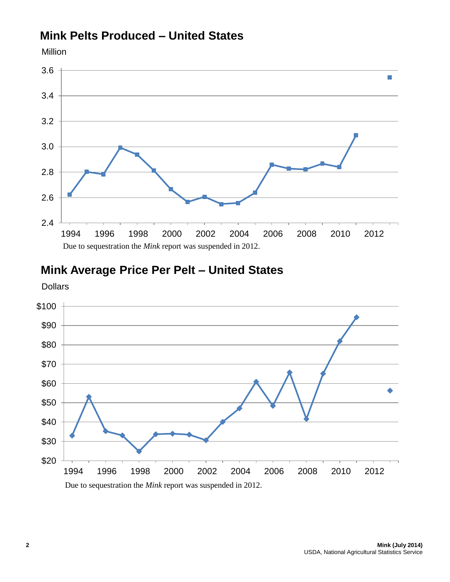## **Mink Pelts Produced – United States**



# **Mink Average Price Per Pelt – United States**

Dollars

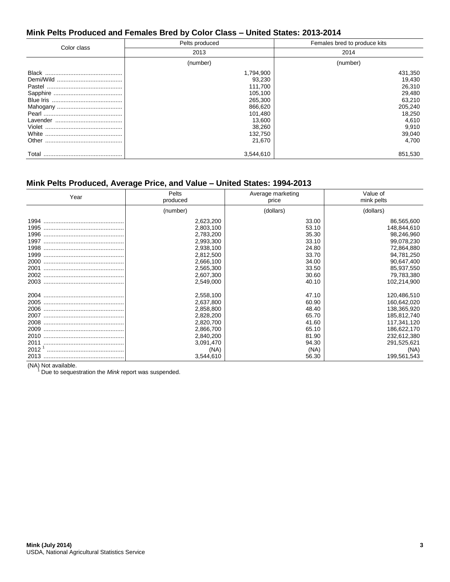## **Mink Pelts Produced and Females Bred by Color Class – United States: 2013-2014**

|             | Pelts produced                                                                                                      | Females bred to produce kits                                                                              |  |  |
|-------------|---------------------------------------------------------------------------------------------------------------------|-----------------------------------------------------------------------------------------------------------|--|--|
| Color class | 2013                                                                                                                | 2014                                                                                                      |  |  |
|             | (number)                                                                                                            | (number)                                                                                                  |  |  |
|             | 1,794,900<br>93,230<br>111,700<br>105,100<br>265,300<br>866,620<br>101,480<br>13,600<br>38,260<br>132,750<br>21,670 | 431,350<br>19,430<br>26,310<br>29,480<br>63,210<br>205,240<br>18,250<br>4,610<br>9,910<br>39,040<br>4.700 |  |  |
| Total       | 3,544,610                                                                                                           | 851,530                                                                                                   |  |  |

## **Mink Pelts Produced, Average Price, and Value – United States: 1994-2013**

| Year                                                                                      | Pelts<br>produced                                                                                                         | Average marketing<br>price                                                            | Value of<br>mink pelts                                                                                                                      |  |
|-------------------------------------------------------------------------------------------|---------------------------------------------------------------------------------------------------------------------------|---------------------------------------------------------------------------------------|---------------------------------------------------------------------------------------------------------------------------------------------|--|
|                                                                                           | (number)                                                                                                                  | (dollars)                                                                             | (dollars)                                                                                                                                   |  |
| 1994<br>1995<br>1996<br>1997<br>1998<br>1999<br>2000                                      | 2,623,200<br>2,803,100<br>2,783,200<br>2,993,300<br>2,938,100<br>2,812,500<br>2,666,100                                   | 33.00<br>53.10<br>35.30<br>33.10<br>24.80<br>33.70<br>34.00                           | 86,565,600<br>148,844,610<br>98,246,960<br>99,078,230<br>72,864,880<br>94,781,250<br>90,647,400                                             |  |
| 2001                                                                                      | 2,565,300<br>2,607,300<br>2,549,000                                                                                       | 33.50<br>30.60<br>40.10                                                               | 85,937,550<br>79,783,380<br>102,214,900                                                                                                     |  |
| 2004<br>2005<br>2006<br>2007<br>2008<br>2009<br>2010<br>2011<br>2012 <sup>1</sup><br>2013 | 2,558,100<br>2,637,800<br>2,858,800<br>2,828,200<br>2,820,700<br>2,866,700<br>2,840,200<br>3,091,470<br>(NA)<br>3,544,610 | 47.10<br>60.90<br>48.40<br>65.70<br>41.60<br>65.10<br>81.90<br>94.30<br>(NA)<br>56.30 | 120,486,510<br>160,642,020<br>138,365,920<br>185,812,740<br>117,341,120<br>186,622,170<br>232,612,380<br>291,525,621<br>(NA)<br>199,561,543 |  |

(NA) Not available.

Due to sequestration the *Mink* report was suspended.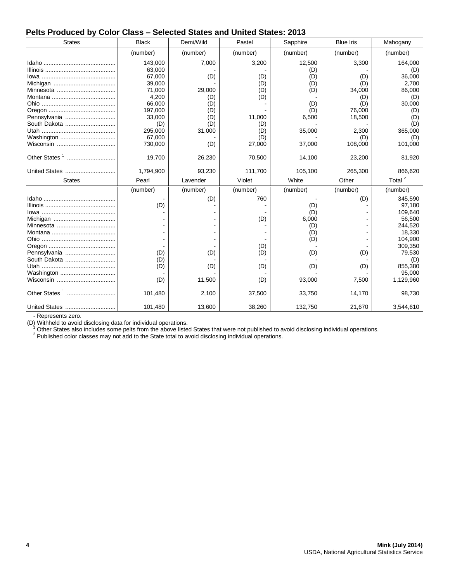#### **Pelts Produced by Color Class – Selected States and United States: 2013**

| <b>States</b>                | <b>Black</b> | Demi/Wild | Pastel   | Sapphire | <b>Blue Iris</b> | Mahogany             |
|------------------------------|--------------|-----------|----------|----------|------------------|----------------------|
|                              | (number)     | (number)  | (number) | (number) | (number)         | (number)             |
|                              | 143,000      | 7,000     | 3,200    | 12,500   | 3,300            | 164,000              |
|                              | 63,000       |           |          | (D)      |                  | (D)                  |
|                              | 67,000       | (D)       | (D)      | (D)      | (D)              | 36,000               |
|                              | 39,000       |           | (D)      | (D)      | (D)              | 2,700                |
|                              | 71,000       | 29,000    | (D)      | (D)      | 34,000           | 86,000               |
|                              | 4,200        | (D)       | (D)      |          | (D)              | (D)                  |
|                              | 66,000       | (D)       |          | (D)      | (D)              | 30,000               |
|                              | 197,000      | (D)       |          | (D)      | 76,000           | (D)                  |
| Pennsylvania                 | 33,000       | (D)       | 11,000   | 6,500    | 18,500           | (D)                  |
| South Dakota                 | (D)          | (D)       | (D)      |          |                  | (D)                  |
|                              | 295,000      | 31,000    | (D)      | 35,000   | 2,300            | 365,000              |
| Washington                   | 67,000       |           | (D)      |          | (D)              | (D)                  |
|                              | 730,000      | (D)       | 27,000   | 37,000   | 108,000          | 101,000              |
| Other States <sup>1</sup>    | 19,700       | 26,230    | 70,500   | 14,100   | 23,200           | 81,920               |
| United States                | 1,794,900    | 93,230    | 111,700  | 105,100  | 265,300          | 866,620              |
| <b>States</b>                | Pearl        | Lavender  | Violet   | White    | Other            | Total $\overline{2}$ |
|                              | (number)     | (number)  | (number) | (number) | (number)         | (number)             |
|                              |              | (D)       | 760      |          | (D)              | 345,590              |
|                              | (D)          |           |          | (D)      |                  | 97,180               |
|                              |              |           |          |          |                  |                      |
|                              |              |           |          | (D)      |                  | 109,640              |
|                              |              |           |          | 6,000    |                  | 56,500               |
| Minnesota                    |              |           | (D)      | (D)      |                  | 244,520              |
|                              |              |           |          | (D)      |                  | 18,330               |
|                              |              |           |          | (D)      |                  | 104,900              |
|                              |              |           |          |          |                  | 309,350              |
|                              | (D)          | (D)       | (D)      | (D)      | (D)              |                      |
| Pennsylvania<br>South Dakota | (D)          |           | (D)      |          |                  | 79,530<br>(D)        |
|                              | (D)          |           |          |          |                  | 855,380              |
| Washington                   |              | (D)       | (D)      | (D)      | (D)              | 95,000               |
|                              | (D)          | 11,500    | (D)      | 93,000   | 7,500            | 1,129,960            |
| Other States <sup>1</sup>    | 101,480      | 2,100     | 37,500   | 33,750   | 14,170           | 98,730               |

- Represents zero.

(D) Withheld to avoid disclosing data for individual operations.<br><sup>1</sup> Other States also includes some pelts from the above listed States that were not published to avoid disclosing individual operations.

 $2$  Published color classes may not add to the State total to avoid disclosing individual operations.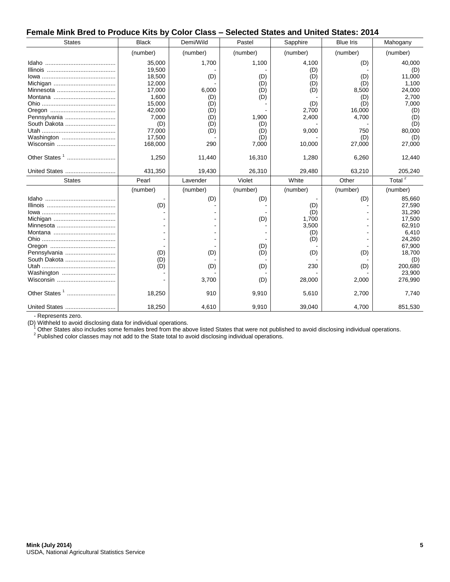#### **Female Mink Bred to Produce Kits by Color Class – Selected States and United States: 2014**

| <b>States</b>             | <b>Black</b>     | Demi/Wild  | Pastel     | Sapphire       | <b>Blue Iris</b> | Mahogany             |
|---------------------------|------------------|------------|------------|----------------|------------------|----------------------|
|                           | (number)         | (number)   | (number)   | (number)       | (number)         | (number)             |
|                           | 35,000<br>19,500 | 1,700      | 1,100      | 4,100<br>(D)   | (D)              | 40,000<br>(D)        |
|                           | 18,500           | (D)        | (D)        | (D)            | (D)              | 11,000               |
|                           | 12,000<br>17,000 | 6,000      | (D)<br>(D) | (D)<br>(D)     | (D)<br>8,500     | 1,100<br>24,000      |
|                           | 1,600            | (D)        | (D)        |                | (D)              | 2,700                |
|                           | 15,000           | (D)        |            | (D)            | (D)              | 7,000                |
| Pennsylvania              | 42,000<br>7,000  | (D)<br>(D) | 1,900      | 2,700<br>2,400 | 16,000<br>4,700  | (D)<br>(D)           |
| South Dakota              | (D)              | (D)        | (D)        |                |                  | (D)                  |
| Washington                | 77,000<br>17,500 | (D)        | (D)<br>(D) | 9,000          | 750<br>(D)       | 80,000<br>(D)        |
|                           | 168,000          | 290        | 7,000      | 10,000         | 27,000           | 27,000               |
|                           | 1,250            | 11,440     | 16,310     | 1,280          | 6,260            | 12,440               |
| United States             | 431,350          | 19,430     | 26,310     | 29,480         | 63,210           | 205,240              |
| <b>States</b>             | Pearl            | Lavender   | Violet     | White          | Other            | Total $\overline{2}$ |
|                           | (number)         | (number)   | (number)   | (number)       | (number)         | (number)             |
|                           |                  | (D)        | (D)        |                | (D)              | 85,660               |
|                           | (D)              |            |            | (D)<br>(D)     |                  | 27,590<br>31,290     |
|                           |                  |            | (D)        | 1,700          |                  | 17,500               |
|                           |                  |            |            | 3,500          |                  | 62,910               |
|                           |                  |            |            | (D)<br>(D)     |                  | 6,410<br>24,260      |
|                           |                  |            | (D)        |                |                  | 67,900               |
| Pennsylvania              | (D)              | (D)        | (D)        | (D)            | (D)              | 18,700               |
| South Dakota              |                  |            |            |                |                  | (D)                  |
|                           | (D)              |            |            |                |                  |                      |
| Washington                | (D)              | (D)        | (D)        | 230            | (D)              | 200,680<br>23,900    |
|                           |                  | 3,700      | (D)        | 28,000         | 2,000            | 276,990              |
| Other States <sup>1</sup> | 18,250           | 910        | 9,910      | 5,610          | 2,700            | 7,740                |

- Represents zero.

(D) Withheld to avoid disclosing data for individual operations.

Other States also includes some females bred from the above listed States that were not published to avoid disclosing individual operations.

<sup>2</sup> Published color classes may not add to the State total to avoid disclosing individual operations.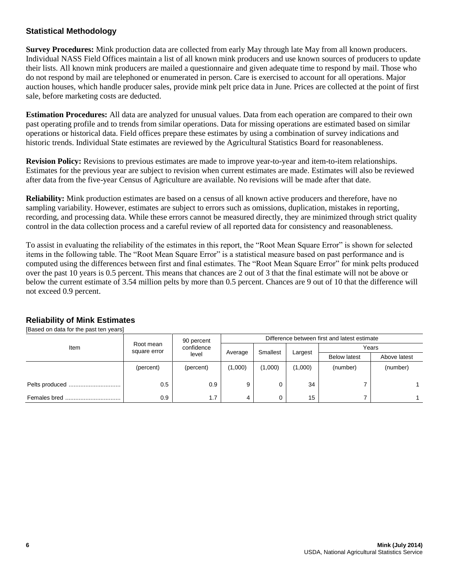## **Statistical Methodology**

**Survey Procedures:** Mink production data are collected from early May through late May from all known producers. Individual NASS Field Offices maintain a list of all known mink producers and use known sources of producers to update their lists. All known mink producers are mailed a questionnaire and given adequate time to respond by mail. Those who do not respond by mail are telephoned or enumerated in person. Care is exercised to account for all operations. Major auction houses, which handle producer sales, provide mink pelt price data in June. Prices are collected at the point of first sale, before marketing costs are deducted.

**Estimation Procedures:** All data are analyzed for unusual values. Data from each operation are compared to their own past operating profile and to trends from similar operations. Data for missing operations are estimated based on similar operations or historical data. Field offices prepare these estimates by using a combination of survey indications and historic trends. Individual State estimates are reviewed by the Agricultural Statistics Board for reasonableness.

**Revision Policy:** Revisions to previous estimates are made to improve year-to-year and item-to-item relationships. Estimates for the previous year are subject to revision when current estimates are made. Estimates will also be reviewed after data from the five-year Census of Agriculture are available. No revisions will be made after that date.

**Reliability:** Mink production estimates are based on a census of all known active producers and therefore, have no sampling variability. However, estimates are subject to errors such as omissions, duplication, mistakes in reporting, recording, and processing data. While these errors cannot be measured directly, they are minimized through strict quality control in the data collection process and a careful review of all reported data for consistency and reasonableness.

To assist in evaluating the reliability of the estimates in this report, the "Root Mean Square Error" is shown for selected items in the following table. The "Root Mean Square Error" is a statistical measure based on past performance and is computed using the differences between first and final estimates. The "Root Mean Square Error" for mink pelts produced over the past 10 years is 0.5 percent. This means that chances are 2 out of 3 that the final estimate will not be above or below the current estimate of 3.54 million pelts by more than 0.5 percent. Chances are 9 out of 10 that the difference will not exceed 0.9 percent.

| [Based on data for the past ten years] |                           |                                   |                                              |          |         |                     |              |
|----------------------------------------|---------------------------|-----------------------------------|----------------------------------------------|----------|---------|---------------------|--------------|
| Item                                   | Root mean<br>square error | 90 percent<br>confidence<br>level | Difference between first and latest estimate |          |         |                     |              |
|                                        |                           |                                   | Average                                      | Smallest | Largest | Years               |              |
|                                        |                           |                                   |                                              |          |         | <b>Below latest</b> | Above latest |
|                                        | (percent)                 | (percent)                         | (1,000)                                      | (1,000)  | (1,000) | (number)            | (number)     |
|                                        | 0.5                       | 0.9                               | 9                                            | 0        | 34      |                     |              |
| Females bred<br>                       | 0.9                       | 1.7                               | 4                                            | 0        | 15      |                     |              |

## **Reliability of Mink Estimates**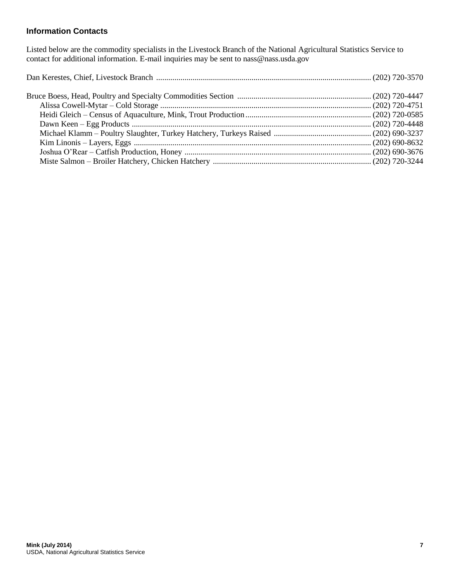## **Information Contacts**

Listed below are the commodity specialists in the Livestock Branch of the National Agricultural Statistics Service to contact for additional information. E-mail inquiries may be sent to nass@nass.usda.gov